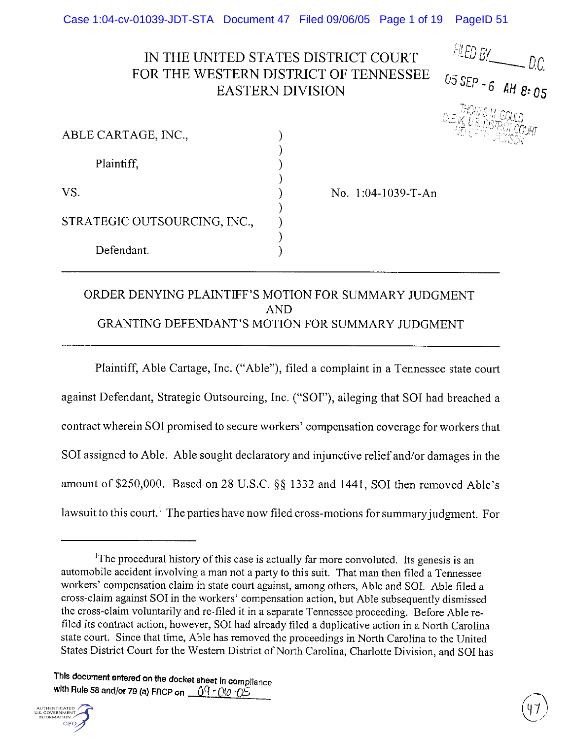Case 1:04-cv-01039-JDT-STA Document 47 Filed 09/06/05 Page 1 of 19 PageID<sub>51</sub>

# IN THE UNITED STATES DISTRICT COURT FOR THE WESTERN DISTRICT OF TENNESSEE **EASTERN DIVISION**

 $FLED BY$  D.C. 05 SEP -6 AM 8:05

| ABLE CARTAGE, INC.,          |                    |
|------------------------------|--------------------|
| Plaintiff,                   |                    |
|                              |                    |
| VS.                          | No. 1:04-1039-T-An |
| STRATEGIC OUTSOURCING, INC., |                    |
|                              |                    |
| Defendant.                   |                    |

## ORDER DENYING PLAINTIFF'S MOTION FOR SUMMARY JUDGMENT **AND** GRANTING DEFENDANT'S MOTION FOR SUMMARY JUDGMENT

Plaintiff, Able Cartage, Inc. ("Able"), filed a complaint in a Tennessee state court against Defendant, Strategic Outsourcing, Inc. ("SOI"), alleging that SOI had breached a contract wherein SOI promised to secure workers' compensation coverage for workers that SOI assigned to Able. Able sought declaratory and injunctive relief and/or damages in the amount of \$250,000. Based on 28 U.S.C. §§ 1332 and 1441, SOI then removed Able's lawsuit to this court.<sup>1</sup> The parties have now filed cross-motions for summary judgment. For

This document entered on the docket sheet in compliance with Rule 58 and/or 79 (a) FRCP on  $\sqrt{9}$  - 00 - 05



<sup>&</sup>lt;sup>1</sup>The procedural history of this case is actually far more convoluted. Its genesis is an automobile accident involving a man not a party to this suit. That man then filed a Tennessee workers' compensation claim in state court against, among others, Able and SOI. Able filed a cross-claim against SOI in the workers' compensation action, but Able subsequently dismissed the cross-claim voluntarily and re-filed it in a separate Tennessee proceeding. Before Able refiled its contract action, however, SOI had already filed a duplicative action in a North Carolina state court. Since that time, Able has removed the proceedings in North Carolina to the United States District Court for the Western District of North Carolina, Charlotte Division, and SOI has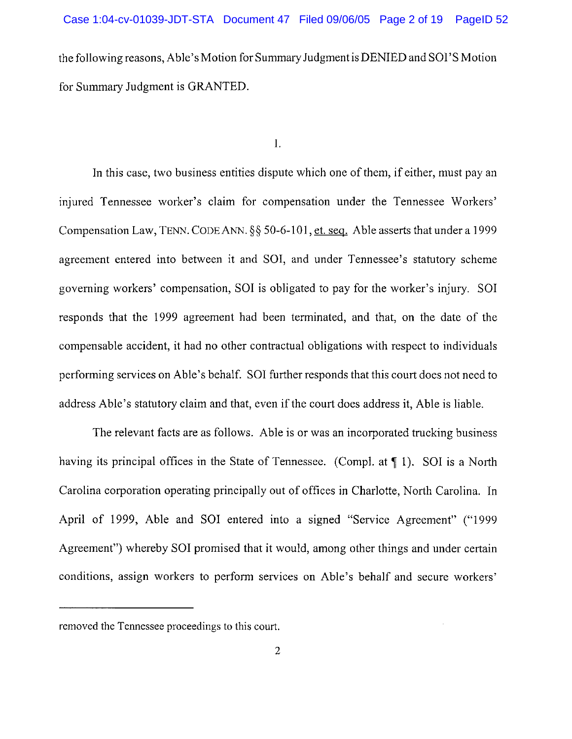the following reasons, Able's Motion for Summary Judgment is DENIED and SOI'S Motion for Summary Judgment is GRANTED.

Ι.

In this case, two business entities dispute which one of them, if either, must pay an injured Tennessee worker's claim for compensation under the Tennessee Workers' Compensation Law, TENN. CODE ANN. §§ 50-6-101, et. seq. Able asserts that under a 1999 agreement entered into between it and SOI, and under Tennessee's statutory scheme governing workers' compensation, SOI is obligated to pay for the worker's injury. SOI responds that the 1999 agreement had been terminated, and that, on the date of the compensable accident, it had no other contractual obligations with respect to individuals performing services on Able's behalf. SOI further responds that this court does not need to address Able's statutory claim and that, even if the court does address it, Able is liable.

The relevant facts are as follows. Able is or was an incorporated trucking business having its principal offices in the State of Tennessee. (Compl. at  $\P$  1). SOI is a North Carolina corporation operating principally out of offices in Charlotte, North Carolina. In April of 1999, Able and SOI entered into a signed "Service Agreement" ("1999 Agreement") whereby SOI promised that it would, among other things and under certain conditions, assign workers to perform services on Able's behalf and secure workers'

removed the Tennessee proceedings to this court.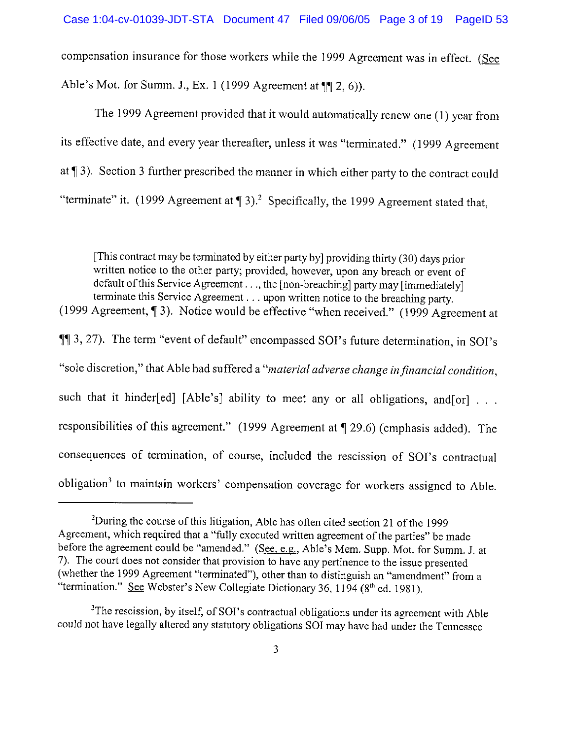compensation insurance for those workers while the 1999 Agreement was in effect. (See Able's Mot. for Summ. J., Ex. 1 (1999 Agreement at  $\P$ [2, 6)).

The 1999 Agreement provided that it would automatically renew one (1) year from its effective date, and every year thereafter, unless it was "terminated." (1999 Agreement at  $\P$  3). Section 3 further prescribed the manner in which either party to the contract could "terminate" it. (1999 Agreement at  $\P$  3).<sup>2</sup> Specifically, the 1999 Agreement stated that,

[This contract may be terminated by either party by] providing thirty (30) days prior written notice to the other party; provided, however, upon any breach or event of default of this Service Agreement . . ., the [non-breaching] party may [immediately] terminate this Service Agreement . . . upon written notice to the breaching party.

(1999 Agreement, ¶ 3). Notice would be effective "when received." (1999 Agreement at 11 3, 27). The term "event of default" encompassed SOI's future determination, in SOI's "sole discretion," that Able had suffered a "material adverse change in financial condition, such that it hinder[ed] [Able's] ability to meet any or all obligations, and[or] . . . responsibilities of this agreement." (1999 Agreement at ¶ 29.6) (emphasis added). The consequences of termination, of course, included the rescission of SOI's contractual obligation<sup>3</sup> to maintain workers' compensation coverage for workers assigned to Able.

<sup>&</sup>lt;sup>2</sup>During the course of this litigation, Able has often cited section 21 of the 1999 Agreement, which required that a "fully executed written agreement of the parties" be made before the agreement could be "amended." (See, e.g., Able's Mem. Supp. Mot. for Summ. J. at 7). The court does not consider that provision to have any pertinence to the issue presented (whether the 1999 Agreement "terminated"), other than to distinguish an "amendment" from a "termination." See Webster's New Collegiate Dictionary 36, 1194 (8<sup>th</sup> ed. 1981).

<sup>&</sup>lt;sup>3</sup>The rescission, by itself, of SOI's contractual obligations under its agreement with Able could not have legally altered any statutory obligations SOI may have had under the Tennessee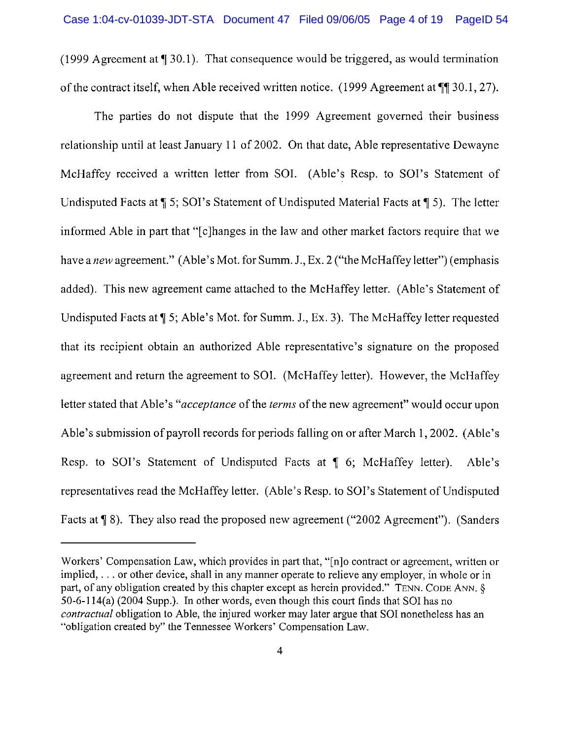(1999 Agreement at  $\P$  30.1). That consequence would be triggered, as would termination of the contract itself, when Able received written notice.  $(1999$  Agreement at  $\P$  30.1, 27).

The parties do not dispute that the 1999 Agreement governed their business relationship until at least January 11 of 2002. On that date, Able representative Dewayne McHaffey received a written letter from SOI. (Able's Resp. to SOI's Statement of Undisputed Facts at  $\P$  5; SOI's Statement of Undisputed Material Facts at  $\P$  5). The letter informed Able in part that "[c] hanges in the law and other market factors require that we have a new agreement." (Able's Mot. for Summ. J., Ex. 2 ("the McHaffey letter") (emphasis added). This new agreement came attached to the McHaffey letter. (Able's Statement of Undisputed Facts at ¶ 5; Able's Mot. for Summ. J., Ex. 3). The McHaffey letter requested that its recipient obtain an authorized Able representative's signature on the proposed agreement and return the agreement to SOI. (McHaffey letter). However, the McHaffey letter stated that Able's "*acceptance* of the *terms* of the new agreement" would occur upon Able's submission of payroll records for periods falling on or after March 1, 2002. (Able's Resp. to SOI's Statement of Undisputed Facts at 1 6; McHaffey letter). Able's representatives read the McHaffey letter. (Able's Resp. to SOI's Statement of Undisputed Facts at ¶ 8). They also read the proposed new agreement ("2002 Agreement"). (Sanders

Workers' Compensation Law, which provides in part that, "[n]o contract or agreement, written or implied, ... or other device, shall in any manner operate to relieve any employer, in whole or in part, of any obligation created by this chapter except as herein provided." TENN. CODE ANN, § 50-6-114(a) (2004 Supp.). In other words, even though this court finds that SOI has no *contractual* obligation to Able, the injured worker may later argue that SOI nonetheless has an "obligation created by" the Tennessee Workers' Compensation Law.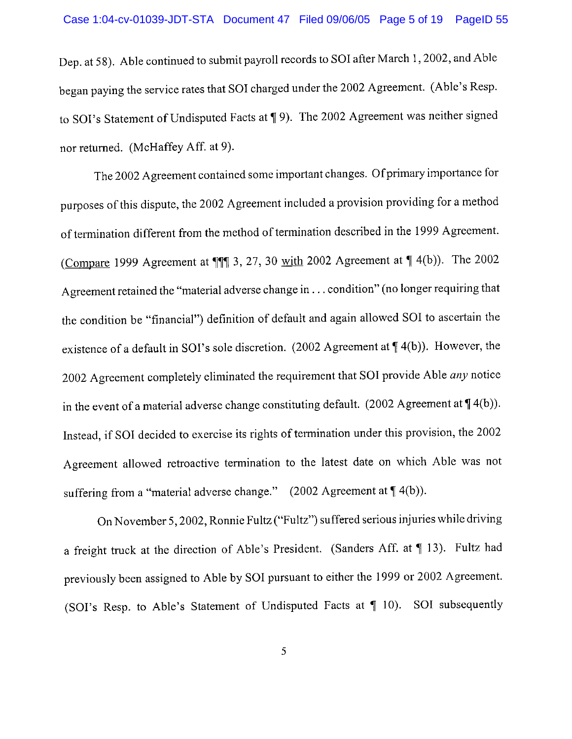Dep. at 58). Able continued to submit payroll records to SOI after March 1, 2002, and Able began paying the service rates that SOI charged under the 2002 Agreement. (Able's Resp. to SOI's Statement of Undisputed Facts at ¶ 9). The 2002 Agreement was neither signed nor returned. (McHaffey Aff. at 9).

The 2002 Agreement contained some important changes. Of primary importance for purposes of this dispute, the 2002 Agreement included a provision providing for a method of termination different from the method of termination described in the 1999 Agreement. (Compare 1999 Agreement at ¶¶ 3, 27, 30 with 2002 Agreement at ¶ 4(b)). The 2002 Agreement retained the "material adverse change in . . . condition" (no longer requiring that the condition be "financial") definition of default and again allowed SOI to ascertain the existence of a default in SOI's sole discretion.  $(2002 \text{ Agreement at } 4(b))$ . However, the 2002 Agreement completely eliminated the requirement that SOI provide Able any notice in the event of a material adverse change constituting default. (2002 Agreement at  $\P$ 4(b)). Instead, if SOI decided to exercise its rights of termination under this provision, the 2002 Agreement allowed retroactive termination to the latest date on which Able was not suffering from a "material adverse change."  $(2002 \text{ Agreement at } \P 4(b)).$ 

On November 5, 2002, Ronnie Fultz ("Fultz") suffered serious injuries while driving a freight truck at the direction of Able's President. (Sanders Aff. at ¶ 13). Fultz had previously been assigned to Able by SOI pursuant to either the 1999 or 2002 Agreement. (SOI's Resp. to Able's Statement of Undisputed Facts at ¶ 10). SOI subsequently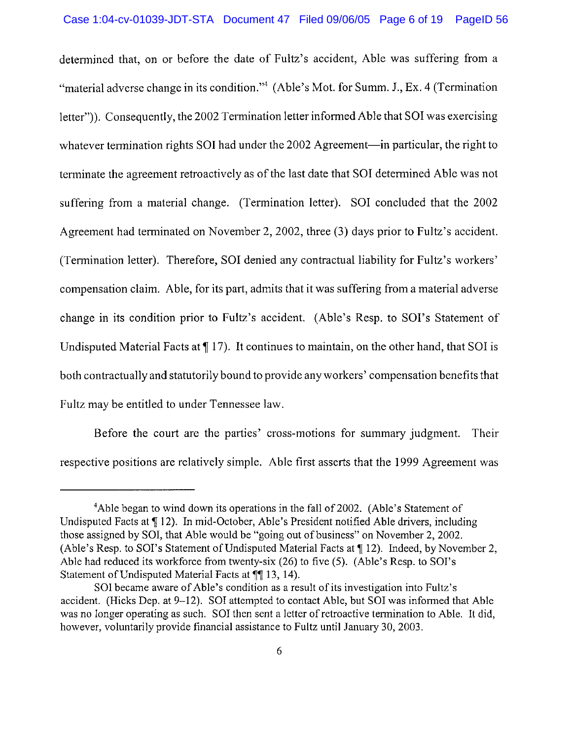determined that, on or before the date of Fultz's accident, Able was suffering from a "material adverse change in its condition."<sup>4</sup> (Able's Mot. for Summ. J., Ex. 4 (Termination letter")). Consequently, the 2002 Termination letter informed Able that SOI was exercising whatever termination rights SOI had under the 2002 Agreement—in particular, the right to terminate the agreement retroactively as of the last date that SOI determined Able was not suffering from a material change. (Termination letter). SOI concluded that the 2002 Agreement had terminated on November 2, 2002, three (3) days prior to Fultz's accident. (Termination letter). Therefore, SOI denied any contractual liability for Fultz's workers' compensation claim. Able, for its part, admits that it was suffering from a material adverse change in its condition prior to Fultz's accident. (Able's Resp. to SOI's Statement of Undisputed Material Facts at  $\P$  17). It continues to maintain, on the other hand, that SOI is both contractually and statutorily bound to provide any workers' compensation benefits that Fultz may be entitled to under Tennessee law.

Before the court are the parties' cross-motions for summary judgment. Their respective positions are relatively simple. Able first asserts that the 1999 Agreement was

<sup>&</sup>lt;sup>4</sup>Able began to wind down its operations in the fall of 2002. (Able's Statement of Undisputed Facts at ¶ 12). In mid-October, Able's President notified Able drivers, including those assigned by SOI, that Able would be "going out of business" on November 2, 2002. (Able's Resp. to SOI's Statement of Undisputed Material Facts at ¶ 12). Indeed, by November 2, Able had reduced its workforce from twenty-six (26) to five (5). (Able's Resp. to SOI's Statement of Undisputed Material Facts at  $\P$ [13, 14].

SOI became aware of Able's condition as a result of its investigation into Fultz's accident. (Hicks Dep. at 9-12). SOI attempted to contact Able, but SOI was informed that Able was no longer operating as such. SOI then sent a letter of retroactive termination to Able. It did, however, voluntarily provide financial assistance to Fultz until January 30, 2003.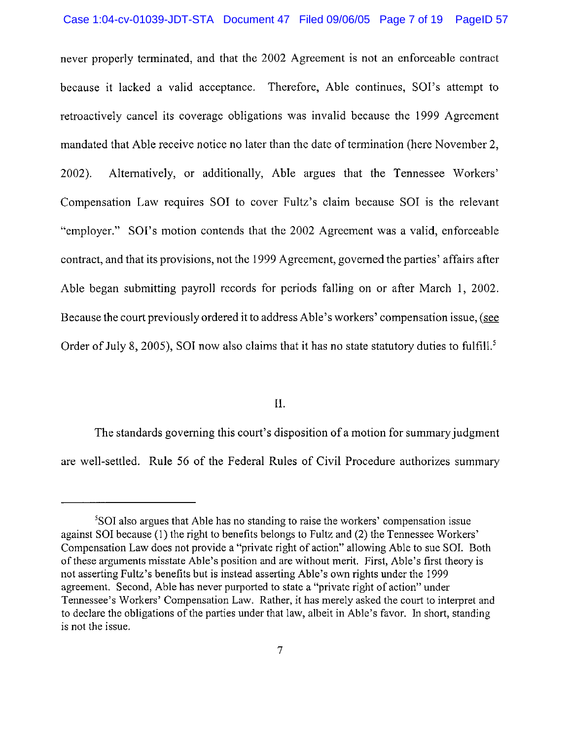never properly terminated, and that the 2002 Agreement is not an enforceable contract because it lacked a valid acceptance. Therefore, Able continues, SOI's attempt to retroactively cancel its coverage obligations was invalid because the 1999 Agreement mandated that Able receive notice no later than the date of termination (here November 2, Alternatively, or additionally, Able argues that the Tennessee Workers'  $2002$ ). Compensation Law requires SOI to cover Fultz's claim because SOI is the relevant "employer." SOI's motion contends that the 2002 Agreement was a valid, enforceable contract, and that its provisions, not the 1999 Agreement, governed the parties' affairs after Able began submitting payroll records for periods falling on or after March 1, 2002. Because the court previously ordered it to address Able's workers' compensation issue, (see Order of July 8, 2005), SOI now also claims that it has no state statutory duties to fulfill.<sup>5</sup>

II.

The standards governing this court's disposition of a motion for summary judgment are well-settled. Rule 56 of the Federal Rules of Civil Procedure authorizes summary

<sup>&</sup>lt;sup>5</sup>SOI also argues that Able has no standing to raise the workers' compensation issue against SOI because (1) the right to benefits belongs to Fultz and (2) the Tennessee Workers' Compensation Law does not provide a "private right of action" allowing Able to sue SOI. Both of these arguments misstate Able's position and are without merit. First, Able's first theory is not asserting Fultz's benefits but is instead asserting Able's own rights under the 1999 agreement. Second, Able has never purported to state a "private right of action" under Tennessee's Workers' Compensation Law. Rather, it has merely asked the court to interpret and to declare the obligations of the parties under that law, albeit in Able's favor. In short, standing is not the issue.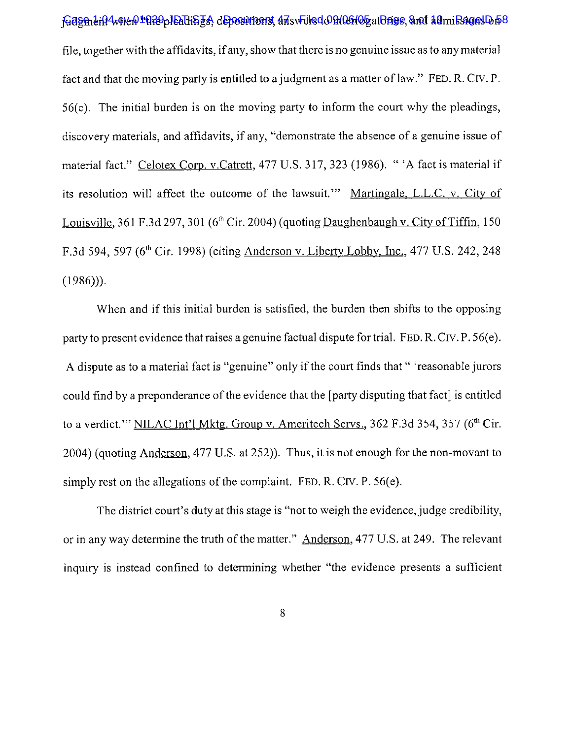Gasmerd4when1029pleath STA depositionst 47 swelsd 09/06/05 at Brigs, and 14 missions D 58 file, together with the affidavits, if any, show that there is no genuine issue as to any material fact and that the moving party is entitled to a judgment as a matter of law." FED. R. CIV. P.  $56(c)$ . The initial burden is on the moving party to inform the court why the pleadings, discovery materials, and affidavits, if any, "demonstrate the absence of a genuine issue of material fact." Celotex Corp. v.Catrett, 477 U.S. 317, 323 (1986). "'A fact is material if its resolution will affect the outcome of the lawsuit." Martingale, L.L.C. v. City of Louisville, 361 F.3d 297, 301 ( $6<sup>th</sup>$  Cir. 2004) (quoting Daughenbaugh v. City of Tiffin, 150 F.3d 594, 597 (6<sup>th</sup> Cir. 1998) (citing Anderson v. Liberty Lobby, Inc., 477 U.S. 242, 248  $(1986))$ .

When and if this initial burden is satisfied, the burden then shifts to the opposing party to present evidence that raises a genuine factual dispute for trial. FED. R. CIV. P. 56(e). A dispute as to a material fact is "genuine" only if the court finds that " 'reasonable jurors could find by a preponderance of the evidence that the [party disputing that fact] is entitled to a verdict." NILAC Int'l Mktg. Group v. Ameritech Servs., 362 F.3d 354, 357 (6<sup>th</sup> Cir. 2004) (quoting Anderson, 477 U.S. at 252)). Thus, it is not enough for the non-movant to simply rest on the allegations of the complaint. FED. R. CIV. P. 56(e).

The district court's duty at this stage is "not to weigh the evidence, judge credibility, or in any way determine the truth of the matter." Anderson, 477 U.S. at 249. The relevant inquiry is instead confined to determining whether "the evidence presents a sufficient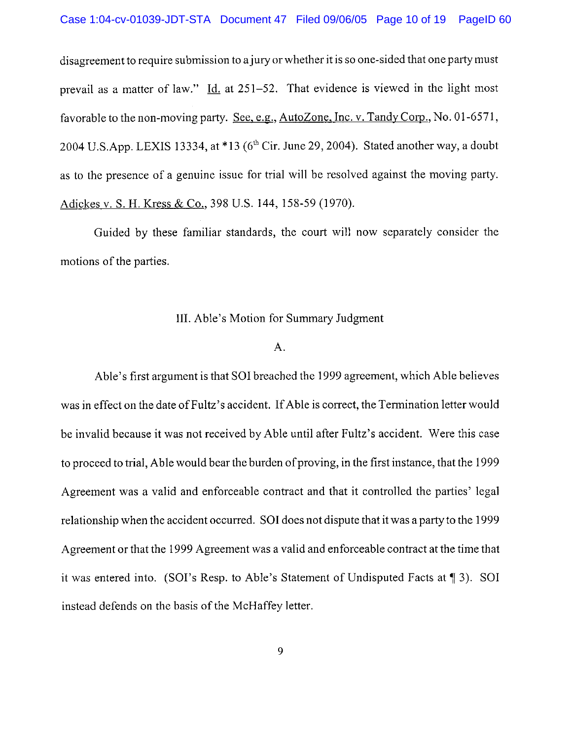disagreement to require submission to a jury or whether it is so one-sided that one party must prevail as a matter of law." Id. at  $251-52$ . That evidence is viewed in the light most favorable to the non-moving party. See, e.g., AutoZone, Inc. v. Tandy Corp., No. 01-6571, 2004 U.S.App. LEXIS 13334, at \*13 (6<sup>th</sup> Cir. June 29, 2004). Stated another way, a doubt as to the presence of a genuine issue for trial will be resolved against the moving party. Adickes v. S. H. Kress & Co., 398 U.S. 144, 158-59 (1970).

Guided by these familiar standards, the court will now separately consider the motions of the parties.

### III. Able's Motion for Summary Judgment

#### A.

Able's first argument is that SOI breached the 1999 agreement, which Able believes was in effect on the date of Fultz's accident. If Able is correct, the Termination letter would be invalid because it was not received by Able until after Fultz's accident. Were this case to proceed to trial, Able would bear the burden of proving, in the first instance, that the 1999 Agreement was a valid and enforceable contract and that it controlled the parties' legal relationship when the accident occurred. SOI does not dispute that it was a party to the 1999 Agreement or that the 1999 Agreement was a valid and enforceable contract at the time that it was entered into. (SOI's Resp. to Able's Statement of Undisputed Facts at  $\P$  3). SOI instead defends on the basis of the McHaffey letter.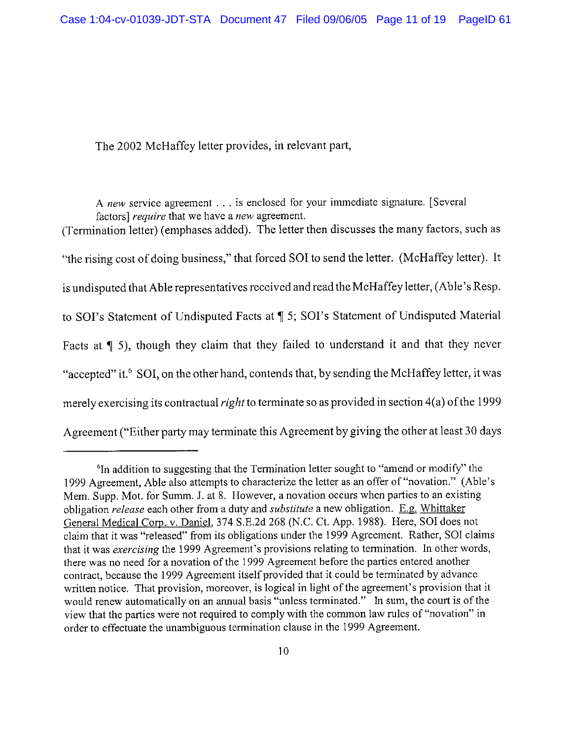The 2002 McHaffey letter provides, in relevant part,

A new service agreement . . . is enclosed for your immediate signature. [Several factors] require that we have a new agreement.

(Termination letter) (emphases added). The letter then discusses the many factors, such as "the rising cost of doing business," that forced SOI to send the letter. (McHaffey letter). It is undisputed that Able representatives received and read the McHaffey letter, (Able's Resp. to SOI's Statement of Undisputed Facts at ¶ 5; SOI's Statement of Undisputed Material Facts at  $\P$  5), though they claim that they failed to understand it and that they never "accepted" it.<sup>6</sup> SOI, on the other hand, contends that, by sending the McHaffey letter, it was merely exercising its contractual *right* to terminate so as provided in section  $4(a)$  of the 1999 Agreement ("Either party may terminate this Agreement by giving the other at least 30 days

<sup>&</sup>lt;sup>6</sup>In addition to suggesting that the Termination letter sought to "amend or modify" the 1999 Agreement, Able also attempts to characterize the letter as an offer of "novation." (Able's Mem. Supp. Mot. for Summ. J. at 8. However, a novation occurs when parties to an existing obligation *release* each other from a duty and *substitute* a new obligation. E.g. Whittaker General Medical Corp. v. Daniel, 374 S.E.2d 268 (N.C. Ct. App. 1988). Here, SOI does not claim that it was "released" from its obligations under the 1999 Agreement. Rather, SOI claims that it was exercising the 1999 Agreement's provisions relating to termination. In other words, there was no need for a novation of the 1999 Agreement before the parties entered another contract, because the 1999 Agreement itself provided that it could be terminated by advance written notice. That provision, moreover, is logical in light of the agreement's provision that it would renew automatically on an annual basis "unless terminated." In sum, the court is of the view that the parties were not required to comply with the common law rules of "novation" in order to effectuate the unambiguous termination clause in the 1999 Agreement.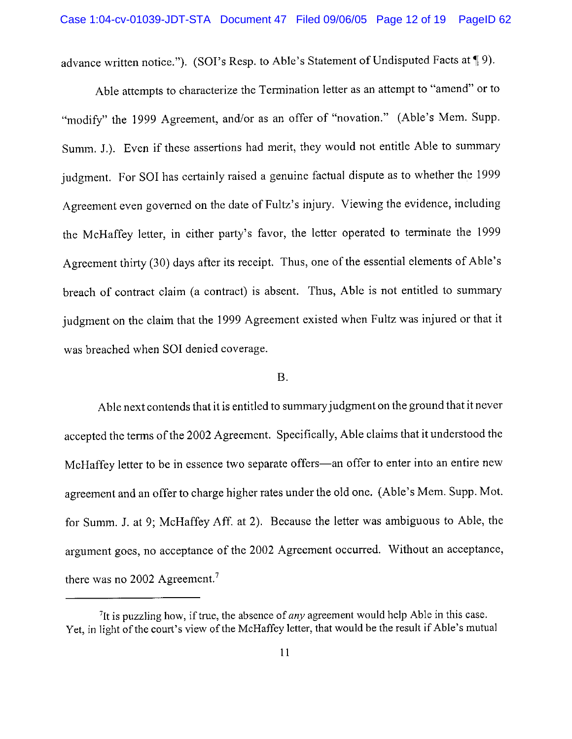advance written notice."). (SOI's Resp. to Able's Statement of Undisputed Facts at 19).

Able attempts to characterize the Termination letter as an attempt to "amend" or to "modify" the 1999 Agreement, and/or as an offer of "novation." (Able's Mem. Supp. Summ. J.). Even if these assertions had merit, they would not entitle Able to summary judgment. For SOI has certainly raised a genuine factual dispute as to whether the 1999 Agreement even governed on the date of Fultz's injury. Viewing the evidence, including the McHaffey letter, in either party's favor, the letter operated to terminate the 1999 Agreement thirty (30) days after its receipt. Thus, one of the essential elements of Able's breach of contract claim (a contract) is absent. Thus, Able is not entitled to summary judgment on the claim that the 1999 Agreement existed when Fultz was injured or that it was breached when SOI denied coverage.

#### **B.**

Able next contends that it is entitled to summary judgment on the ground that it never accepted the terms of the 2002 Agreement. Specifically, Able claims that it understood the McHaffey letter to be in essence two separate offers—an offer to enter into an entire new agreement and an offer to charge higher rates under the old one. (Able's Mem. Supp. Mot. for Summ. J. at 9: McHaffey Aff. at 2). Because the letter was ambiguous to Able, the argument goes, no acceptance of the 2002 Agreement occurred. Without an acceptance, there was no 2002 Agreement.<sup>7</sup>

 $7$ It is puzzling how, if true, the absence of *any* agreement would help Able in this case. Yet, in light of the court's view of the McHaffey letter, that would be the result if Able's mutual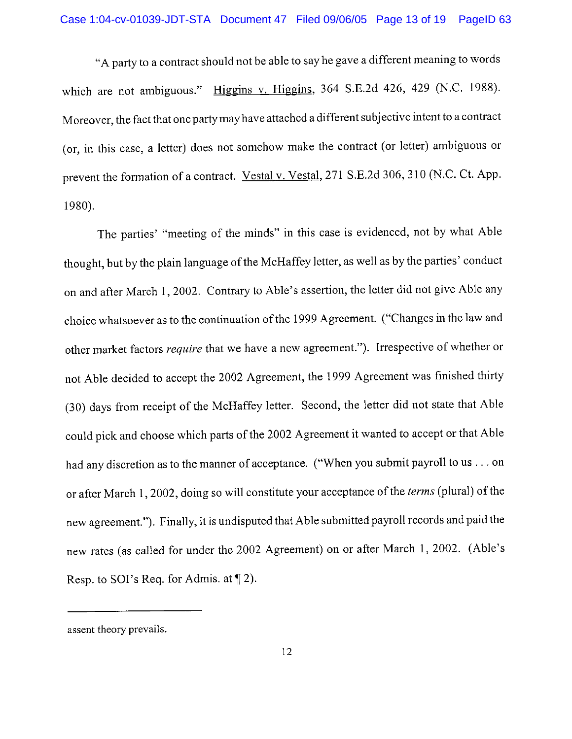"A party to a contract should not be able to say he gave a different meaning to words which are not ambiguous." Higgins v. Higgins, 364 S.E.2d 426, 429 (N.C. 1988). Moreover, the fact that one party may have attached a different subjective intent to a contract (or, in this case, a letter) does not somehow make the contract (or letter) ambiguous or prevent the formation of a contract. Vestal v. Vestal, 271 S.E.2d 306, 310 (N.C. Ct. App. 1980).

The parties' "meeting of the minds" in this case is evidenced, not by what Able thought, but by the plain language of the McHaffey letter, as well as by the parties' conduct on and after March 1, 2002. Contrary to Able's assertion, the letter did not give Able any choice whatsoever as to the continuation of the 1999 Agreement. ("Changes in the law and other market factors *require* that we have a new agreement."). Irrespective of whether or not Able decided to accept the 2002 Agreement, the 1999 Agreement was finished thirty (30) days from receipt of the McHaffey letter. Second, the letter did not state that Able could pick and choose which parts of the 2002 Agreement it wanted to accept or that Able had any discretion as to the manner of acceptance. ("When you submit payroll to us . . . on or after March 1, 2002, doing so will constitute your acceptance of the *terms* (plural) of the new agreement."). Finally, it is undisputed that Able submitted payroll records and paid the new rates (as called for under the 2002 Agreement) on or after March 1, 2002. (Able's Resp. to SOI's Req. for Admis. at  $\P$  2).

assent theory prevails.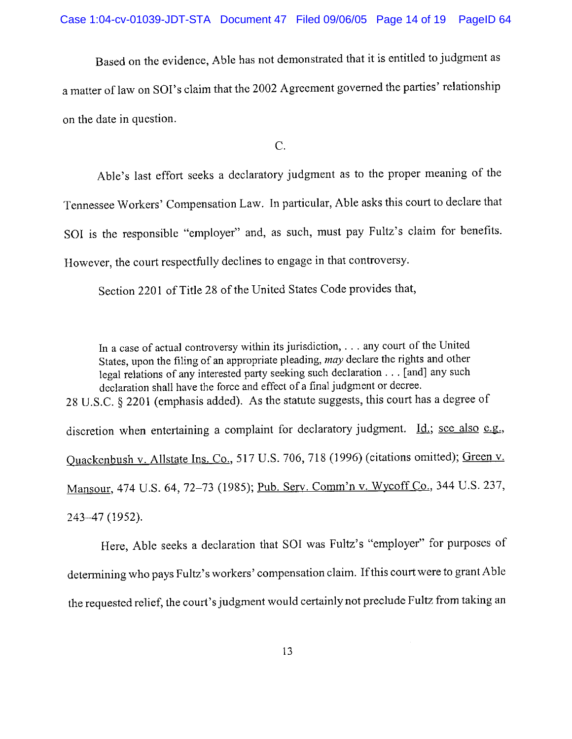Based on the evidence, Able has not demonstrated that it is entitled to judgment as a matter of law on SOI's claim that the 2002 Agreement governed the parties' relationship on the date in question.

 $\overline{C}$ .

Able's last effort seeks a declaratory judgment as to the proper meaning of the

Tennessee Workers' Compensation Law. In particular, Able asks this court to declare that

SOI is the responsible "employer" and, as such, must pay Fultz's claim for benefits.

However, the court respectfully declines to engage in that controversy.

Section 2201 of Title 28 of the United States Code provides that,

In a case of actual controversy within its jurisdiction, . . . any court of the United States, upon the filing of an appropriate pleading, may declare the rights and other legal relations of any interested party seeking such declaration . . . [and] any such declaration shall have the force and effect of a final judgment or decree. 28 U.S.C. § 2201 (emphasis added). As the statute suggests, this court has a degree of discretion when entertaining a complaint for declaratory judgment. Id.; see also e.g., Quackenbush v. Allstate Ins. Co., 517 U.S. 706, 718 (1996) (citations omitted); Green v. Mansour, 474 U.S. 64, 72-73 (1985); Pub. Serv. Comm'n v. Wycoff Co., 344 U.S. 237, 243-47 (1952).

Here, Able seeks a declaration that SOI was Fultz's "employer" for purposes of determining who pays Fultz's workers' compensation claim. If this court were to grant Able the requested relief, the court's judgment would certainly not preclude Fultz from taking an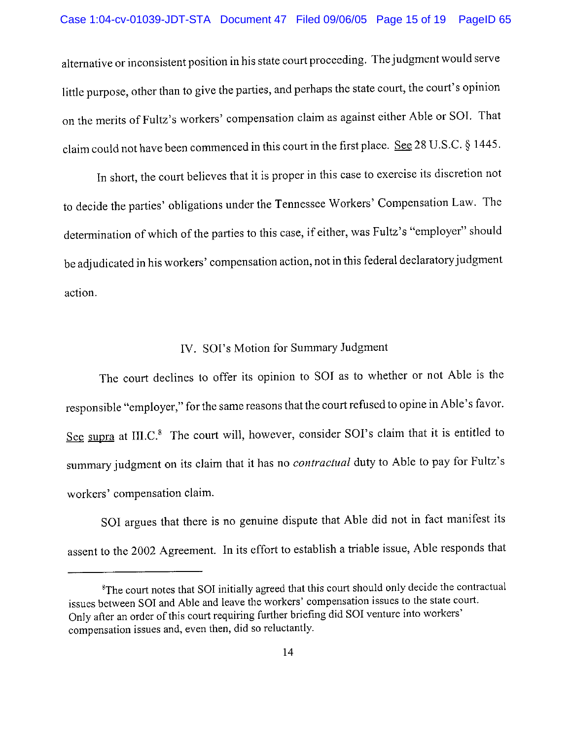alternative or inconsistent position in his state court proceeding. The judgment would serve little purpose, other than to give the parties, and perhaps the state court, the court's opinion on the merits of Fultz's workers' compensation claim as against either Able or SOI. That claim could not have been commenced in this court in the first place. See 28 U.S.C. § 1445.

In short, the court believes that it is proper in this case to exercise its discretion not to decide the parties' obligations under the Tennessee Workers' Compensation Law. The determination of which of the parties to this case, if either, was Fultz's "employer" should be adjudicated in his workers' compensation action, not in this federal declaratory judgment action.

## IV. SOI's Motion for Summary Judgment

The court declines to offer its opinion to SOI as to whether or not Able is the responsible "employer," for the same reasons that the court refused to opine in Able's favor. See supra at III.C.<sup>8</sup> The court will, however, consider SOI's claim that it is entitled to summary judgment on its claim that it has no *contractual* duty to Able to pay for Fultz's workers' compensation claim.

SOI argues that there is no genuine dispute that Able did not in fact manifest its assent to the 2002 Agreement. In its effort to establish a triable issue, Able responds that

<sup>&</sup>lt;sup>8</sup>The court notes that SOI initially agreed that this court should only decide the contractual issues between SOI and Able and leave the workers' compensation issues to the state court. Only after an order of this court requiring further briefing did SOI venture into workers' compensation issues and, even then, did so reluctantly.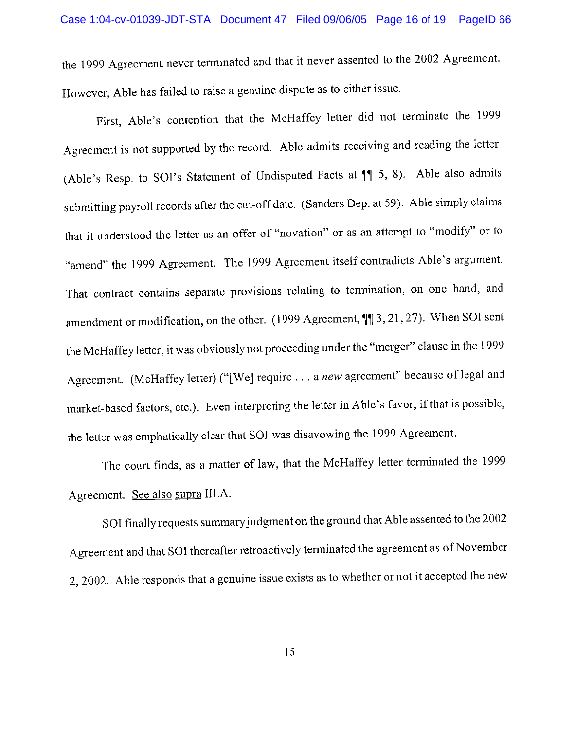the 1999 Agreement never terminated and that it never assented to the 2002 Agreement. However, Able has failed to raise a genuine dispute as to either issue.

First, Able's contention that the McHaffey letter did not terminate the 1999 Agreement is not supported by the record. Able admits receiving and reading the letter. (Able's Resp. to SOI's Statement of Undisputed Facts at  $\P$  5, 8). Able also admits submitting payroll records after the cut-off date. (Sanders Dep. at 59). Able simply claims that it understood the letter as an offer of "novation" or as an attempt to "modify" or to "amend" the 1999 Agreement. The 1999 Agreement itself contradicts Able's argument. That contract contains separate provisions relating to termination, on one hand, and amendment or modification, on the other. (1999 Agreement,  $\P$ ] 3, 21, 27). When SOI sent the McHaffey letter, it was obviously not proceeding under the "merger" clause in the 1999 Agreement. (McHaffey letter) ("[We] require . . . a new agreement" because of legal and market-based factors, etc.). Even interpreting the letter in Able's favor, if that is possible, the letter was emphatically clear that SOI was disavowing the 1999 Agreement.

The court finds, as a matter of law, that the McHaffey letter terminated the 1999 Agreement. See also supra III.A.

SOI finally requests summary judgment on the ground that Able assented to the 2002 Agreement and that SOI thereafter retroactively terminated the agreement as of November 2, 2002. Able responds that a genuine issue exists as to whether or not it accepted the new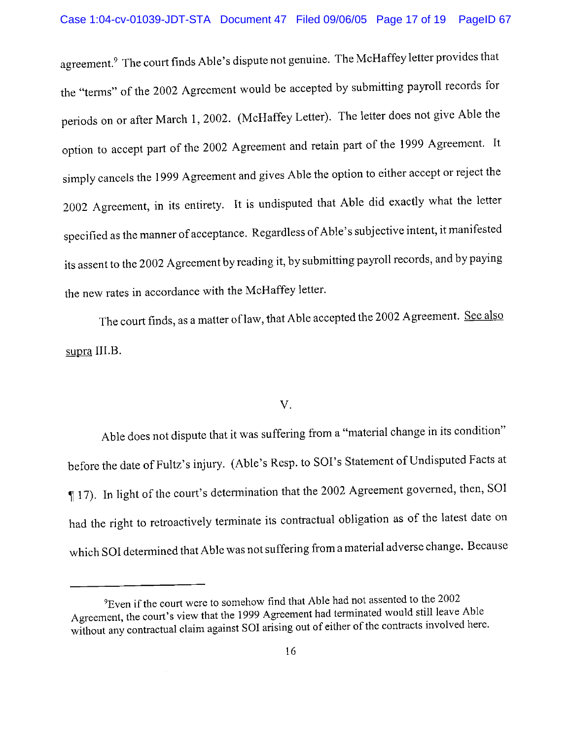agreement.<sup>9</sup> The court finds Able's dispute not genuine. The McHaffey letter provides that the "terms" of the 2002 Agreement would be accepted by submitting payroll records for periods on or after March 1, 2002. (McHaffey Letter). The letter does not give Able the option to accept part of the 2002 Agreement and retain part of the 1999 Agreement. It simply cancels the 1999 Agreement and gives Able the option to either accept or reject the 2002 Agreement, in its entirety. It is undisputed that Able did exactly what the letter specified as the manner of acceptance. Regardless of Able's subjective intent, it manifested its assent to the 2002 Agreement by reading it, by submitting payroll records, and by paying the new rates in accordance with the McHaffey letter.

The court finds, as a matter of law, that Able accepted the 2002 Agreement. See also supra III.B.

#### $V_{\odot}$

Able does not dispute that it was suffering from a "material change in its condition" before the date of Fultz's injury. (Able's Resp. to SOI's Statement of Undisputed Facts at 17). In light of the court's determination that the 2002 Agreement governed, then, SOI had the right to retroactively terminate its contractual obligation as of the latest date on which SOI determined that Able was not suffering from a material adverse change. Because

<sup>&</sup>lt;sup>9</sup>Even if the court were to somehow find that Able had not assented to the 2002 Agreement, the court's view that the 1999 Agreement had terminated would still leave Able without any contractual claim against SOI arising out of either of the contracts involved here.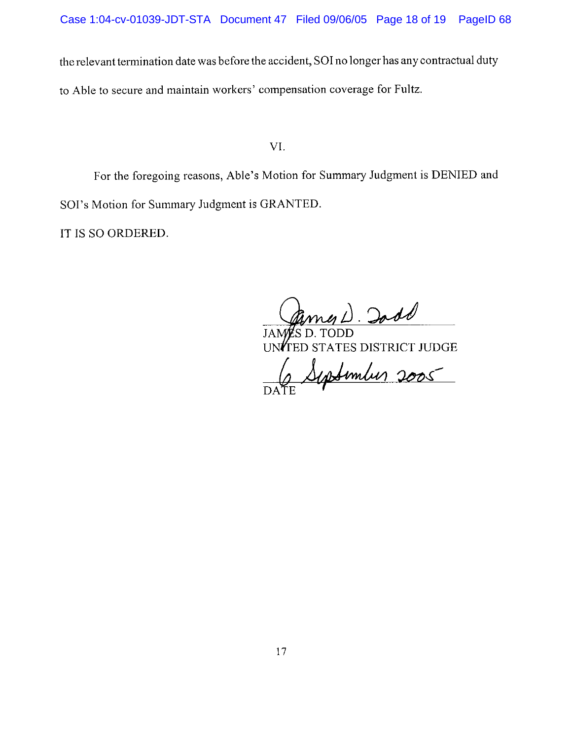the relevant termination date was before the accident, SOI no longer has any contractual duty to Able to secure and maintain workers' compensation coverage for Fultz.

VI.

For the foregoing reasons, Able's Motion for Summary Judgment is DENIED and SOI's Motion for Summary Judgment is GRANTED.

IT IS SO ORDERED.

 $D.$  Iod

**ID STATES DISTRICT JUDGE** 

September 2005